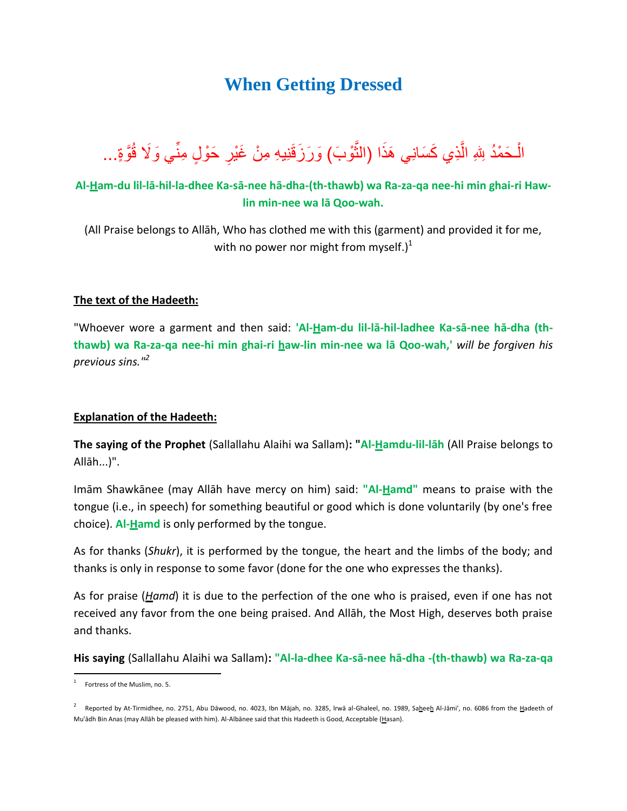## **When Getting Dressed**

الْـحَمْدُ لِلهِ الَّذِي كَسَانِي هَذَا (النُّوْبَ) وَرَزَقَنِيهِ مِنْ غَيْرِ حَوْلٍ مِنِّي وَلَا قُوَّةٍ... Ĵ ل ِّ

## **Al-Ham-du lil-lā-hil-la-dhee Ka-sā-nee hā-dha-(th-thawb) wa Ra-za-qa nee-hi min ghai-ri Hawlin min-nee wa lā Qoo-wah.**

(All Praise belongs to Allāh, Who has clothed me with this (garment) and provided it for me, with no power nor might from myself.)<sup>1</sup>

## **The text of the Hadeeth:**

"Whoever wore a garment and then said: **'Al-Ham-du lil-lā-hil-ladhee Ka-sā-nee hā-dha (ththawb) wa Ra-za-qa nee-hi min ghai-ri haw-lin min-nee wa lā Qoo-wah,'** *will be forgiven his previous sins."<sup>2</sup>*

## **Explanation of the Hadeeth:**

**The saying of the Prophet** (Sallallahu Alaihi wa Sallam)**: "Al-Hamdu-lil-lāh** (All Praise belongs to Allāh...)".

Imām Shawkānee (may Allāh have mercy on him) said: **"Al-Hamd"** means to praise with the tongue (i.e., in speech) for something beautiful or good which is done voluntarily (by one's free choice). **Al-Hamd** is only performed by the tongue.

As for thanks (*Shukr*), it is performed by the tongue, the heart and the limbs of the body; and thanks is only in response to some favor (done for the one who expresses the thanks).

As for praise (*Hamd*) it is due to the perfection of the one who is praised, even if one has not received any favor from the one being praised. And Allāh, the Most High, deserves both praise and thanks.

**His saying** (Sallallahu Alaihi wa Sallam)**: "Al-la-dhee Ka-sā-nee hā-dha -(th-thawb) wa Ra-za-qa**

 1 Fortress of the Muslim, no. 5.

<sup>&</sup>lt;sup>2</sup> Reported by At-Tirmidhee, no. 2751, Abu Dāwood, no. 4023, Ibn Mājah, no. 3285, Irwā al-Ghaleel, no. 1989, Sa<u>h</u>ee<u>h</u> Al-Jāmi', no. 6086 from the <u>H</u>adeeth of Mu'ādh Bin Anas (may Allāh be pleased with him). Al-Albānee said that this Hadeeth is Good, Acceptable (Hasan).